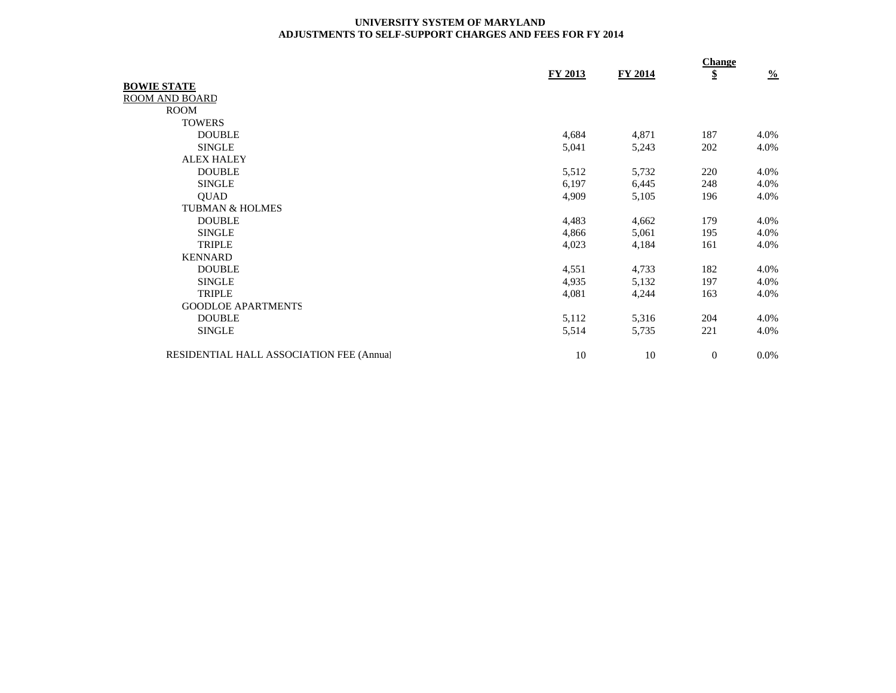## **UNIVERSITY SYSTEM OF MARYLAND ADJUSTMENTS TO SELF-SUPPORT CHARGES AND FEES FOR FY 2014**

|                                          |                |                | <b>Change</b> |               |
|------------------------------------------|----------------|----------------|---------------|---------------|
|                                          | <b>FY 2013</b> | <b>FY 2014</b> | \$            | $\frac{0}{0}$ |
| <b>BOWIE STATE</b>                       |                |                |               |               |
| ROOM AND BOARD                           |                |                |               |               |
| <b>ROOM</b>                              |                |                |               |               |
| <b>TOWERS</b>                            |                |                |               |               |
| <b>DOUBLE</b>                            | 4,684          | 4,871          | 187           | 4.0%          |
| <b>SINGLE</b>                            | 5,041          | 5,243          | 202           | 4.0%          |
| <b>ALEX HALEY</b>                        |                |                |               |               |
| <b>DOUBLE</b>                            | 5,512          | 5,732          | 220           | 4.0%          |
| <b>SINGLE</b>                            | 6,197          | 6,445          | 248           | 4.0%          |
| <b>OUAD</b>                              | 4,909          | 5,105          | 196           | 4.0%          |
| <b>TUBMAN &amp; HOLMES</b>               |                |                |               |               |
| <b>DOUBLE</b>                            | 4,483          | 4,662          | 179           | 4.0%          |
| <b>SINGLE</b>                            | 4,866          | 5,061          | 195           | 4.0%          |
| <b>TRIPLE</b>                            | 4,023          | 4,184          | 161           | 4.0%          |
| <b>KENNARD</b>                           |                |                |               |               |
| <b>DOUBLE</b>                            | 4,551          | 4,733          | 182           | 4.0%          |
| <b>SINGLE</b>                            | 4,935          | 5,132          | 197           | 4.0%          |
| <b>TRIPLE</b>                            | 4,081          | 4,244          | 163           | 4.0%          |
| <b>GOODLOE APARTMENTS</b>                |                |                |               |               |
| <b>DOUBLE</b>                            | 5,112          | 5,316          | 204           | 4.0%          |
| <b>SINGLE</b>                            | 5,514          | 5,735          | 221           | 4.0%          |
| RESIDENTIAL HALL ASSOCIATION FEE (Annual | 10             | 10             | $\mathbf{0}$  | $0.0\%$       |